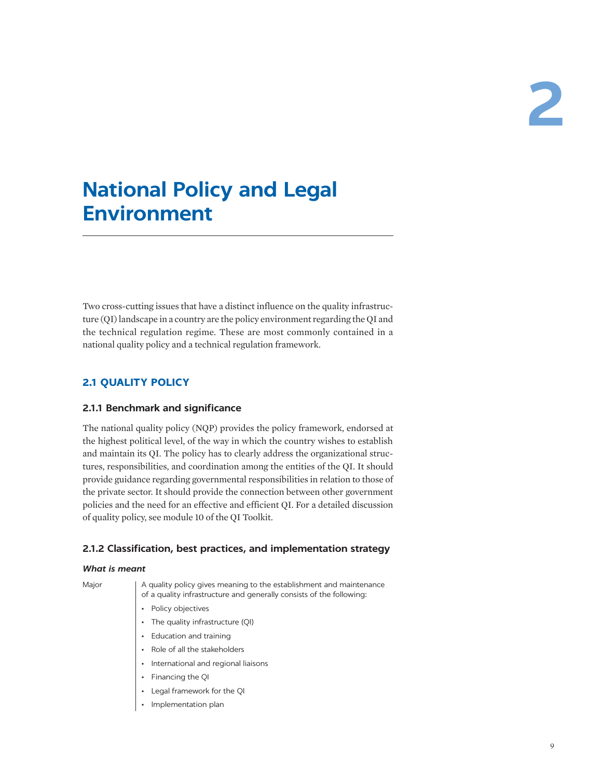# **National Policy and Legal Environment**

Two cross-cutting issues that have a distinct influence on the quality infrastructure (QI) landscape in a country are the policy environment regarding the QI and the technical regulation regime. These are most commonly contained in a national quality policy and a technical regulation framework.

# **2.1 QUALITY POLICY**

## **2.1.1 Benchmark and significance**

The national quality policy (NQP) provides the policy framework, endorsed at the highest political level, of the way in which the country wishes to establish and maintain its QI. The policy has to clearly address the organizational structures, responsibilities, and coordination among the entities of the QI. It should provide guidance regarding governmental responsibilities in relation to those of the private sector. It should provide the connection between other government policies and the need for an effective and efficient QI. For a detailed discussion of quality policy, see module 10 of the QI Toolkit.

# **2.1.2 Classification, best practices, and implementation strategy**

## *What is meant*

Major | A quality policy gives meaning to the establishment and maintenance of a quality infrastructure and generally consists of the following:

- Policy objectives
- The quality infrastructure (QI)
- Education and training
- Role of all the stakeholders
- International and regional liaisons
- Financing the QI
- Legal framework for the QI
- Implementation plan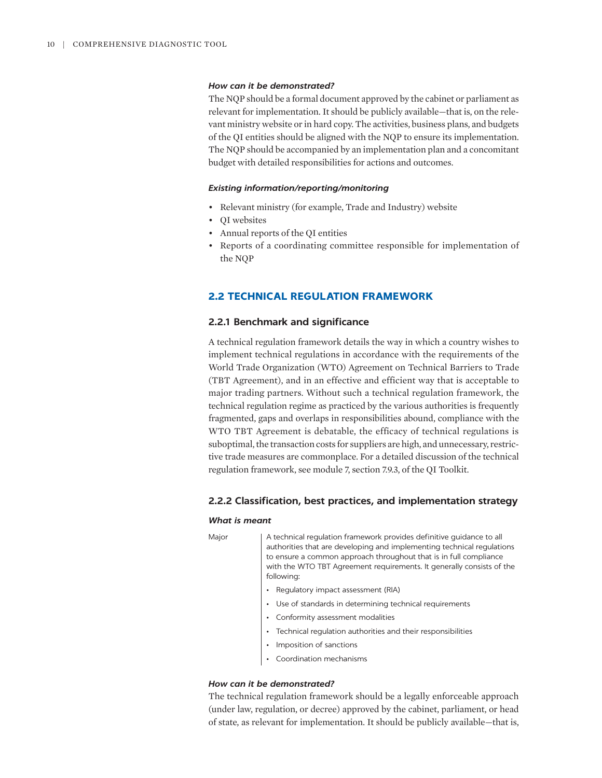### *How can it be demonstrated?*

The NQP should be a formal document approved by the cabinet or parliament as relevant for implementation. It should be publicly available—that is, on the relevant ministry website or in hard copy. The activities, business plans, and budgets of the QI entities should be aligned with the NQP to ensure its implementation. The NQP should be accompanied by an implementation plan and a concomitant budget with detailed responsibilities for actions and outcomes.

#### *Existing information/reporting/monitoring*

- Relevant ministry (for example, Trade and Industry) website
- QI websites
- Annual reports of the QI entities
- Reports of a coordinating committee responsible for implementation of the NQP

## **2.2 TECHNICAL REGULATION FRAMEWORK**

#### **2.2.1 Benchmark and significance**

A technical regulation framework details the way in which a country wishes to implement technical regulations in accordance with the requirements of the World Trade Organization (WTO) Agreement on Technical Barriers to Trade (TBT Agreement), and in an effective and efficient way that is acceptable to major trading partners. Without such a technical regulation framework, the technical regulation regime as practiced by the various authorities is frequently fragmented, gaps and overlaps in responsibilities abound, compliance with the WTO TBT Agreement is debatable, the efficacy of technical regulations is suboptimal, the transaction costs for suppliers are high, and unnecessary, restrictive trade measures are commonplace. For a detailed discussion of the technical regulation framework, see module 7, section 7.9.3, of the QI Toolkit.

### **2.2.2 Classification, best practices, and implementation strategy**

#### *What is meant*

Major A technical regulation framework provides definitive guidance to all authorities that are developing and implementing technical regulations to ensure a common approach throughout that is in full compliance with the WTO TBT Agreement requirements. It generally consists of the following:

- Regulatory impact assessment (RIA)
- Use of standards in determining technical requirements
- Conformity assessment modalities
- Technical regulation authorities and their responsibilities
- Imposition of sanctions
- Coordination mechanisms

## *How can it be demonstrated?*

The technical regulation framework should be a legally enforceable approach (under law, regulation, or decree) approved by the cabinet, parliament, or head of state, as relevant for implementation. It should be publicly available—that is,